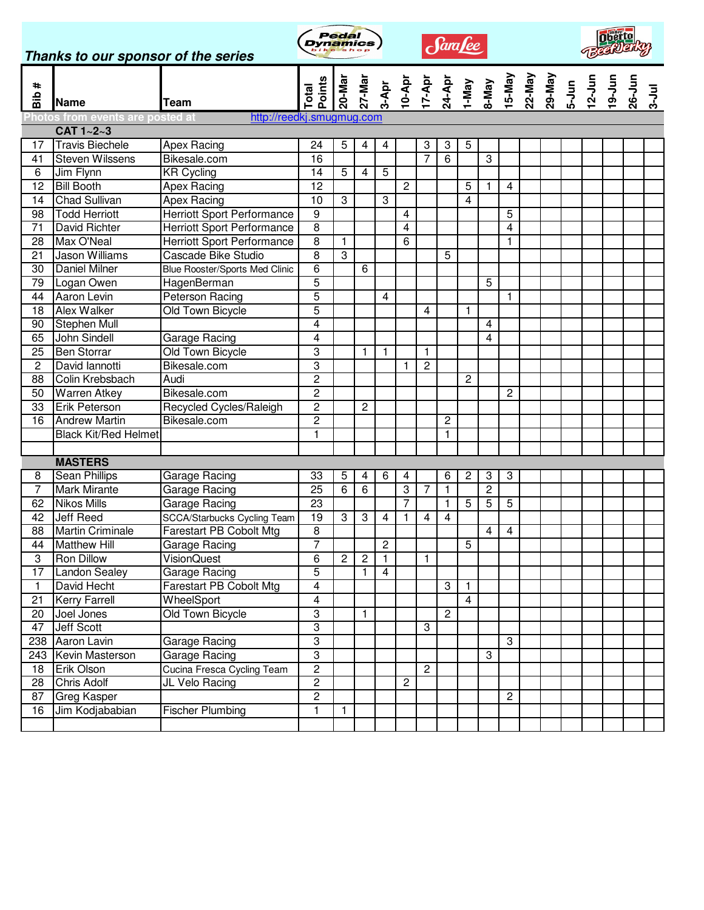| Thanks to our sponsor of the series |                                                     |                                    | <b>Dynamics</b> | Pedal          |                |                  |                | Sara <u>fee</u> |                |                         |                           |                         |  |  |  |  |  |  |  |
|-------------------------------------|-----------------------------------------------------|------------------------------------|-----------------|----------------|----------------|------------------|----------------|-----------------|----------------|-------------------------|---------------------------|-------------------------|--|--|--|--|--|--|--|
| #diB                                | <b>Name</b>                                         | Team                               | Total           |                |                |                  |                |                 |                |                         |                           |                         |  |  |  |  |  |  |  |
|                                     | Photos from events are posted at<br>$CAT 1 - 2 - 3$ | http://reedkj.smugmug.com          |                 |                |                |                  |                |                 |                |                         |                           |                         |  |  |  |  |  |  |  |
| 17                                  | <b>Travis Biechele</b>                              | <b>Apex Racing</b>                 | 24              | 5              | 4              | 4                |                | 3               | 3              | 5                       |                           |                         |  |  |  |  |  |  |  |
| 41                                  | <b>Steven Wilssens</b>                              | Bikesale.com                       | 16              |                |                |                  |                | $\overline{7}$  | $\overline{6}$ |                         | $\overline{\omega}$       |                         |  |  |  |  |  |  |  |
| 6                                   | Jim Flynn                                           | <b>KR Cycling</b>                  | 14              | 5              | 4              | 5                |                |                 |                |                         |                           |                         |  |  |  |  |  |  |  |
| 12                                  | <b>Bill Booth</b>                                   | <b>Apex Racing</b>                 | $\overline{12}$ |                |                |                  | $\overline{c}$ |                 |                | 5                       | $\mathbf{1}$              | 4                       |  |  |  |  |  |  |  |
| 14                                  | <b>Chad Sullivan</b>                                | <b>Apex Racing</b>                 | $\overline{10}$ | 3              |                | $\boldsymbol{3}$ |                |                 |                | 4                       |                           |                         |  |  |  |  |  |  |  |
| 98                                  | <b>Todd Herriott</b>                                | <b>Herriott Sport Performance</b>  | $\overline{9}$  |                |                |                  | 4              |                 |                |                         |                           | 5                       |  |  |  |  |  |  |  |
| 71                                  | David Richter                                       | <b>Herriott Sport Performance</b>  | $\overline{8}$  |                |                |                  | 4              |                 |                |                         |                           | $\overline{\mathbf{4}}$ |  |  |  |  |  |  |  |
| 28                                  | Max O'Neal                                          | <b>Herriott Sport Performance</b>  | $\overline{8}$  | $\mathbf{1}$   |                |                  | 6              |                 |                |                         |                           | 1                       |  |  |  |  |  |  |  |
| 21                                  | Jason Williams                                      | <b>Cascade Bike Studio</b>         | $\overline{8}$  | 3              |                |                  |                |                 | 5              |                         |                           |                         |  |  |  |  |  |  |  |
| 30                                  | Daniel Milner                                       | Blue Rooster/Sports Med Clinic     | $\overline{6}$  |                | 6              |                  |                |                 |                |                         |                           |                         |  |  |  |  |  |  |  |
| 79                                  | Logan Owen                                          | HagenBerman                        | $\overline{5}$  |                |                |                  |                |                 |                |                         | 5                         |                         |  |  |  |  |  |  |  |
| 44                                  | Aaron Levin                                         | Peterson Racing                    | $\overline{5}$  |                |                | 4                |                |                 |                |                         |                           | $\mathbf{1}$            |  |  |  |  |  |  |  |
| 18                                  | <b>Alex Walker</b>                                  | <b>Old Town Bicycle</b>            | $\overline{5}$  |                |                |                  |                | 4               |                | 1                       |                           |                         |  |  |  |  |  |  |  |
| 90                                  | Stephen Mull                                        |                                    | $\overline{4}$  |                |                |                  |                |                 |                |                         | 4                         |                         |  |  |  |  |  |  |  |
| 65                                  | John Sindell                                        | Garage Racing                      | $\overline{4}$  |                |                |                  |                |                 |                |                         | 4                         |                         |  |  |  |  |  |  |  |
| 25                                  | <b>Ben Storrar</b>                                  | <b>Old Town Bicycle</b>            | 3               |                | 1              | 1                |                | $\mathbf{1}$    |                |                         |                           |                         |  |  |  |  |  |  |  |
| $\overline{2}$                      | David lannotti                                      | Bikesale.com                       | $\overline{3}$  |                |                |                  | 1              | $\overline{2}$  |                |                         |                           |                         |  |  |  |  |  |  |  |
| 88                                  | Colin Krebsbach                                     | Audi                               | $\overline{2}$  |                |                |                  |                |                 |                | $\overline{c}$          |                           |                         |  |  |  |  |  |  |  |
| 50                                  | <b>Warren Atkey</b>                                 | Bikesale.com                       | $\overline{2}$  |                |                |                  |                |                 |                |                         |                           | $\overline{c}$          |  |  |  |  |  |  |  |
| 33                                  | <b>Erik Peterson</b>                                | Recycled Cycles/Raleigh            | $\overline{2}$  |                | $\overline{c}$ |                  |                |                 |                |                         |                           |                         |  |  |  |  |  |  |  |
| 16                                  | <b>Andrew Martin</b>                                | Bikesale.com                       | $\overline{2}$  |                |                |                  |                |                 | $\overline{c}$ |                         |                           |                         |  |  |  |  |  |  |  |
|                                     | <b>Black Kit/Red Helmet</b>                         |                                    | $\mathbf{1}$    |                |                |                  |                |                 | $\mathbf{1}$   |                         |                           |                         |  |  |  |  |  |  |  |
|                                     |                                                     |                                    |                 |                |                |                  |                |                 |                |                         |                           |                         |  |  |  |  |  |  |  |
|                                     | <b>MASTERS</b>                                      |                                    |                 |                |                |                  |                |                 |                |                         |                           |                         |  |  |  |  |  |  |  |
| 8                                   | <b>Sean Phillips</b>                                | Garage Racing                      | 33              | 5              | 4              | 6                | 4              |                 | 6              | 2                       | 3                         | 3                       |  |  |  |  |  |  |  |
| $\overline{7}$                      | <b>Mark Mirante</b>                                 | Garage Racing                      | $\overline{25}$ | 6              | $\overline{6}$ |                  | 3              | $\overline{7}$  | $\mathbf{1}$   |                         | $\overline{2}$            |                         |  |  |  |  |  |  |  |
| 62                                  | <b>Nikos Mills</b>                                  | Garage Racing                      | 23              |                |                |                  | $\overline{7}$ |                 | $\mathbf{1}$   | 5                       | 5                         | 5                       |  |  |  |  |  |  |  |
| 42                                  | <b>Jeff Reed</b>                                    | <b>SCCA/Starbucks Cycling Team</b> | 19              | 3              | 3              | 4                |                | 4               | 4              |                         |                           |                         |  |  |  |  |  |  |  |
| 88                                  | <b>Martin Criminale</b>                             | <b>Farestart PB Cobolt Mtg</b>     | 8               |                |                |                  |                |                 |                |                         | $\overline{4}$            | $\overline{4}$          |  |  |  |  |  |  |  |
| 44                                  | <b>Matthew Hill</b>                                 | Garage Racing                      | $\overline{7}$  |                |                | $\overline{2}$   |                |                 |                | $\overline{5}$          |                           |                         |  |  |  |  |  |  |  |
| $\ensuremath{\mathsf{3}}$           | <b>Ron Dillow</b>                                   | VisionQuest                        | 6               | $\overline{c}$ | $\overline{c}$ | 1                |                | 1               |                |                         |                           |                         |  |  |  |  |  |  |  |
| 17                                  | <b>Landon Sealey</b>                                | Garage Racing                      | $\overline{5}$  |                | $\mathbf{1}$   | $\overline{4}$   |                |                 |                |                         |                           |                         |  |  |  |  |  |  |  |
| 1                                   | David Hecht                                         | Farestart PB Cobolt Mtg            | $\overline{4}$  |                |                |                  |                |                 | 3              | 1                       |                           |                         |  |  |  |  |  |  |  |
| 21                                  | <b>Kerry Farrell</b>                                | WheelSport                         | $\overline{4}$  |                |                |                  |                |                 |                | $\overline{\mathbf{4}}$ |                           |                         |  |  |  |  |  |  |  |
| 20                                  | Joel Jones                                          | Old Town Bicycle                   | 3               |                | 1.             |                  |                |                 | $\overline{c}$ |                         |                           |                         |  |  |  |  |  |  |  |
| 47                                  | Jeff Scott                                          |                                    | $\overline{3}$  |                |                |                  |                | 3               |                |                         |                           |                         |  |  |  |  |  |  |  |
| 238                                 | Aaron Lavin                                         | Garage Racing                      | 3               |                |                |                  |                |                 |                |                         |                           | 3                       |  |  |  |  |  |  |  |
| 243                                 | Kevin Masterson                                     | Garage Racing                      | $\overline{3}$  |                |                |                  |                |                 |                |                         | $\ensuremath{\mathsf{3}}$ |                         |  |  |  |  |  |  |  |
| 18                                  | Erik Olson                                          | Cucina Fresca Cycling Team         | $\overline{2}$  |                |                |                  |                | $\sqrt{2}$      |                |                         |                           |                         |  |  |  |  |  |  |  |
| 28                                  | Chris Adolf                                         | JL Velo Racing                     | $\overline{2}$  |                |                |                  | $\overline{c}$ |                 |                |                         |                           |                         |  |  |  |  |  |  |  |
| 87                                  | <b>Greg Kasper</b>                                  |                                    | $\overline{2}$  |                |                |                  |                |                 |                |                         |                           | $\overline{c}$          |  |  |  |  |  |  |  |
| 16                                  | Jim Kodjababian                                     | <b>Fischer Plumbing</b>            | $\overline{1}$  | $\mathbf{1}$   |                |                  |                |                 |                |                         |                           |                         |  |  |  |  |  |  |  |
|                                     |                                                     |                                    |                 |                |                |                  |                |                 |                |                         |                           |                         |  |  |  |  |  |  |  |